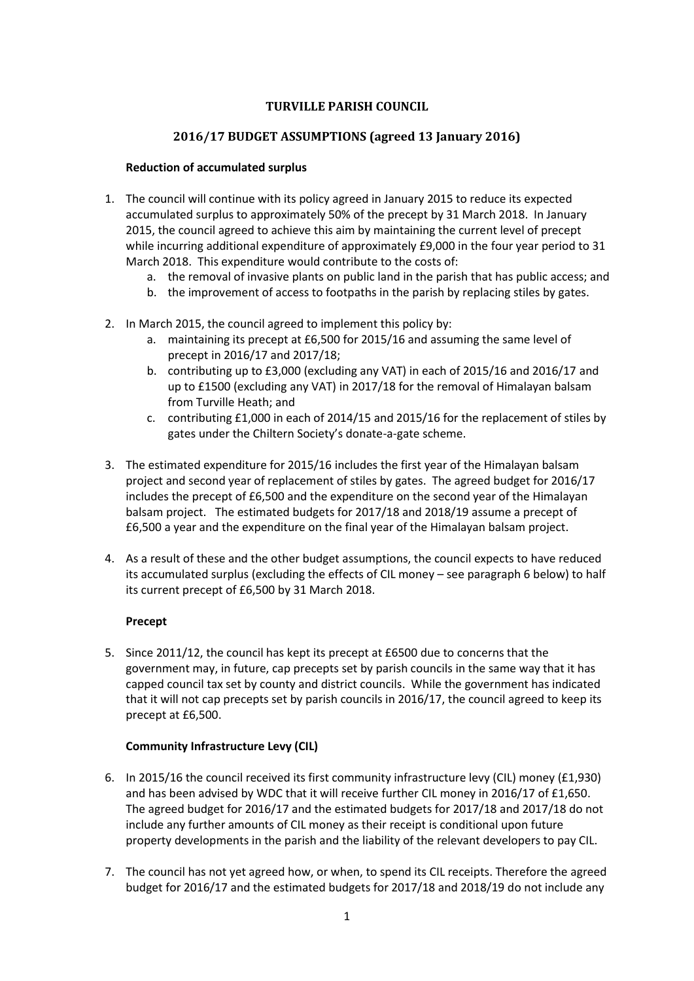# **TURVILLE PARISH COUNCIL**

# **2016/17 BUDGET ASSUMPTIONS (agreed 13 January 2016)**

### **Reduction of accumulated surplus**

- 1. The council will continue with its policy agreed in January 2015 to reduce its expected accumulated surplus to approximately 50% of the precept by 31 March 2018. In January 2015, the council agreed to achieve this aim by maintaining the current level of precept while incurring additional expenditure of approximately £9,000 in the four year period to 31 March 2018. This expenditure would contribute to the costs of:
	- a. the removal of invasive plants on public land in the parish that has public access; and
	- b. the improvement of access to footpaths in the parish by replacing stiles by gates.
- 2. In March 2015, the council agreed to implement this policy by:
	- a. maintaining its precept at £6,500 for 2015/16 and assuming the same level of precept in 2016/17 and 2017/18;
	- b. contributing up to £3,000 (excluding any VAT) in each of 2015/16 and 2016/17 and up to £1500 (excluding any VAT) in 2017/18 for the removal of Himalayan balsam from Turville Heath; and
	- c. contributing £1,000 in each of 2014/15 and 2015/16 for the replacement of stiles by gates under the Chiltern Society's donate-a-gate scheme.
- 3. The estimated expenditure for 2015/16 includes the first year of the Himalayan balsam project and second year of replacement of stiles by gates. The agreed budget for 2016/17 includes the precept of £6,500 and the expenditure on the second year of the Himalayan balsam project. The estimated budgets for 2017/18 and 2018/19 assume a precept of £6,500 a year and the expenditure on the final year of the Himalayan balsam project.
- 4. As a result of these and the other budget assumptions, the council expects to have reduced its accumulated surplus (excluding the effects of CIL money – see paragraph 6 below) to half its current precept of £6,500 by 31 March 2018.

# **Precept**

5. Since 2011/12, the council has kept its precept at £6500 due to concerns that the government may, in future, cap precepts set by parish councils in the same way that it has capped council tax set by county and district councils. While the government has indicated that it will not cap precepts set by parish councils in 2016/17, the council agreed to keep its precept at £6,500.

# **Community Infrastructure Levy (CIL)**

- 6. In 2015/16 the council received its first community infrastructure levy (CIL) money (£1,930) and has been advised by WDC that it will receive further CIL money in 2016/17 of £1,650. The agreed budget for 2016/17 and the estimated budgets for 2017/18 and 2017/18 do not include any further amounts of CIL money as their receipt is conditional upon future property developments in the parish and the liability of the relevant developers to pay CIL.
- 7. The council has not yet agreed how, or when, to spend its CIL receipts. Therefore the agreed budget for 2016/17 and the estimated budgets for 2017/18 and 2018/19 do not include any